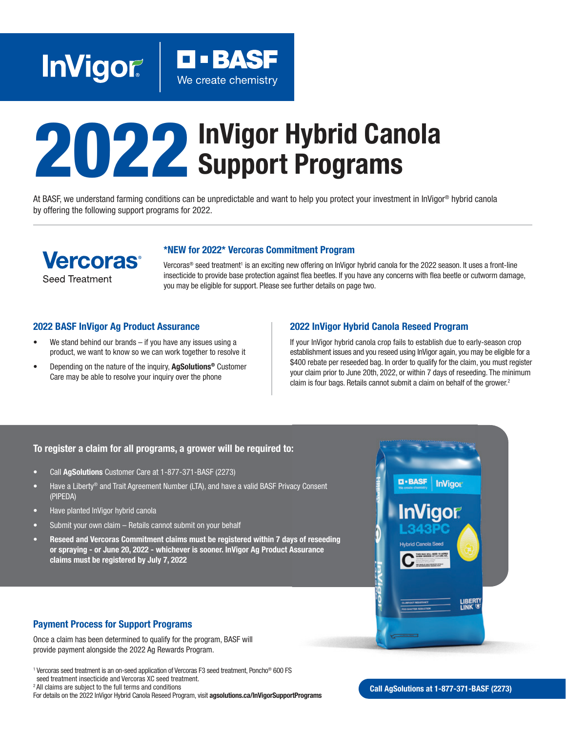



**D-BASF** 

We create chemistry

At BASF, we understand farming conditions can be unpredictable and want to help you protect your investment in InVigor® hybrid canola by offering the following support programs for 2022.



\*NEW for 2022\* Vercoras Commitment Program

Vercoras® seed treatment<sup>1</sup> is an exciting new offering on InVigor hybrid canola for the 2022 season. It uses a front-line insecticide to provide base protection against flea beetles. If you have any concerns with flea beetle or cutworm damage, you may be eligible for support. Please see further details on page two.

## 2022 BASF InVigor Ag Product Assurance

- We stand behind our brands  $-$  if you have any issues using a product, we want to know so we can work together to resolve it
- Depending on the nature of the inquiry, **AgSolutions**<sup>®</sup> Customer Care may be able to resolve your inquiry over the phone

#### 2022 InVigor Hybrid Canola Reseed Program

If your InVigor hybrid canola crop fails to establish due to early-season crop establishment issues and you reseed using InVigor again, you may be eligible for a \$400 rebate per reseeded bag. In order to qualify for the claim, you must register your claim prior to June 20th, 2022, or within 7 days of reseeding. The minimum claim is four bags. Retails cannot submit a claim on behalf of the grower.<sup>2</sup>

## To register a claim for all programs, a grower will be required to:

- Call AgSolutions Customer Care at 1-877-371-BASF (2273)
- Have a Liberty® and Trait Agreement Number (LTA), and have a valid BASF Privacy Consent (PIPEDA)
- Have planted InVigor hybrid canola
- Submit your own claim Retails cannot submit on your behalf
- Reseed and Vercoras Commitment claims must be registered within 7 days of reseeding or spraying - or June 20, 2022 - whichever is sooner. InVigor Ag Product Assurance claims must be registered by July 7, 2022

## Payment Process for Support Programs

Once a claim has been determined to qualify for the program, BASF will provide payment alongside the 2022 Ag Rewards Program.

<sup>1</sup> Vercoras seed treatment is an on-seed application of Vercoras F3 seed treatment, Poncho® 600 FS seed treatment insecticide and Vercoras XC seed treatment.

2 All claims are subject to the full terms and conditions

<sup>2</sup> All claims are subject to the full terms and conditions<br>For details on the 2022 InVigor Hybrid Canola Reseed Program, visit agsolutions.ca/InVigorSupportPrograms **Call AgSolutions at 1-877-371-BASF (2273)**